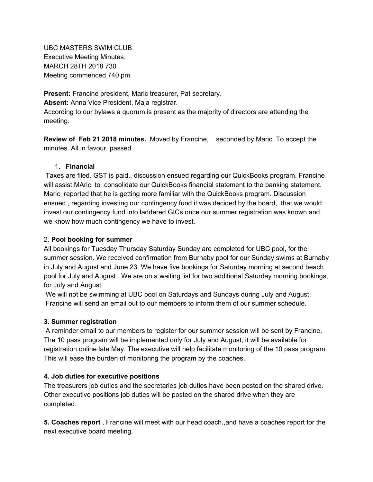UBC MASTERS SWIM CLUB Executive Meeting Minutes. MARCH 28TH 2018 730 Meeting commenced 740 pm

**Present:** Francine president, Maric treasurer, Pat secretary. **Absent:** Anna Vice President, Maja registrar. According to our bylaws a quorum is present as the majority of directors are attending the meeting.

**Review of Feb 21 2018 minutes.** Moved by Francine, seconded by Maric. To accept the minutes. All in favour, passed .

### 1. **Financial**

Taxes are filed. GST is paid., discussion ensued regarding our QuickBooks program. Francine will assist MAric to consolidate our QuickBooks financial statement to the banking statement. Maric reported that he is getting more familiar with the QuickBooks program. Discussion ensued , regarding investing our contingency fund it was decided by the board, that we would invest our contingency fund into laddered GICs once our summer registration was known and we know how much contingency we have to invest.

## 2. **Pool booking for summer**

All bookings for Tuesday Thursday Saturday Sunday are completed for UBC pool, for the summer session. We received confirmation from Burnaby pool for our Sunday swims at Burnaby in July and August and June 23. We have five bookings for Saturday morning at second beach pool for July and August . We are on a waiting list for two additional Saturday morning bookings, for July and August.

We will not be swimming at UBC pool on Saturdays and Sundays during July and August. Francine will send an email out to our members to inform them of our summer schedule.

#### **3. Summer registration**

A reminder email to our members to register for our summer session will be sent by Francine. The 10 pass program will be implemented only for July and August, it will be available for registration online late May. The executive will help facilitate monitoring of the 10 pass program. This will ease the burden of monitoring the program by the coaches.

# **4. Job duties for executive positions**

The treasurers job duties and the secretaries job duties have been posted on the shared drive. Other executive positions job duties will be posted on the shared drive when they are completed.

**5. Coaches report** , Francine will meet with our head coach.,and have a coaches report for the next executive board meeting.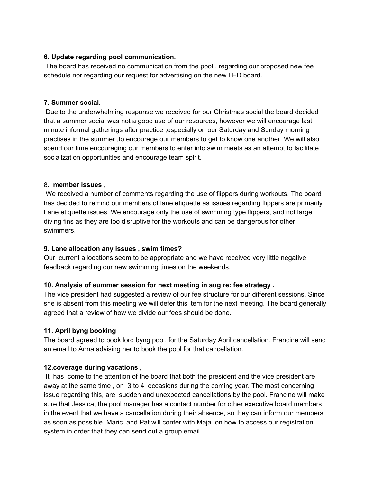# **6. Update regarding pool communication.**

The board has received no communication from the pool., regarding our proposed new fee schedule nor regarding our request for advertising on the new LED board.

### **7. Summer social.**

Due to the underwhelming response we received for our Christmas social the board decided that a summer social was not a good use of our resources, however we will encourage last minute informal gatherings after practice ,especially on our Saturday and Sunday morning practises in the summer ,to encourage our members to get to know one another. We will also spend our time encouraging our members to enter into swim meets as an attempt to facilitate socialization opportunities and encourage team spirit.

### 8. **member issues** ,

We received a number of comments regarding the use of flippers during workouts. The board has decided to remind our members of lane etiquette as issues regarding flippers are primarily Lane etiquette issues. We encourage only the use of swimming type flippers, and not large diving fins as they are too disruptive for the workouts and can be dangerous for other swimmers.

# **9. Lane allocation any issues , swim times?**

Our current allocations seem to be appropriate and we have received very little negative feedback regarding our new swimming times on the weekends.

# **10. Analysis of summer session for next meeting in aug re: fee strategy .**

The vice president had suggested a review of our fee structure for our different sessions. Since she is absent from this meeting we will defer this item for the next meeting. The board generally agreed that a review of how we divide our fees should be done.

# **11. April byng booking**

The board agreed to book lord byng pool, for the Saturday April cancellation. Francine will send an email to Anna advising her to book the pool for that cancellation.

#### **12.coverage during vacations ,**

It has come to the attention of the board that both the president and the vice president are away at the same time , on 3 to 4 occasions during the coming year. The most concerning issue regarding this, are sudden and unexpected cancellations by the pool. Francine will make sure that Jessica, the pool manager has a contact number for other executive board members in the event that we have a cancellation during their absence, so they can inform our members as soon as possible. Maric and Pat will confer with Maja on how to access our registration system in order that they can send out a group email.